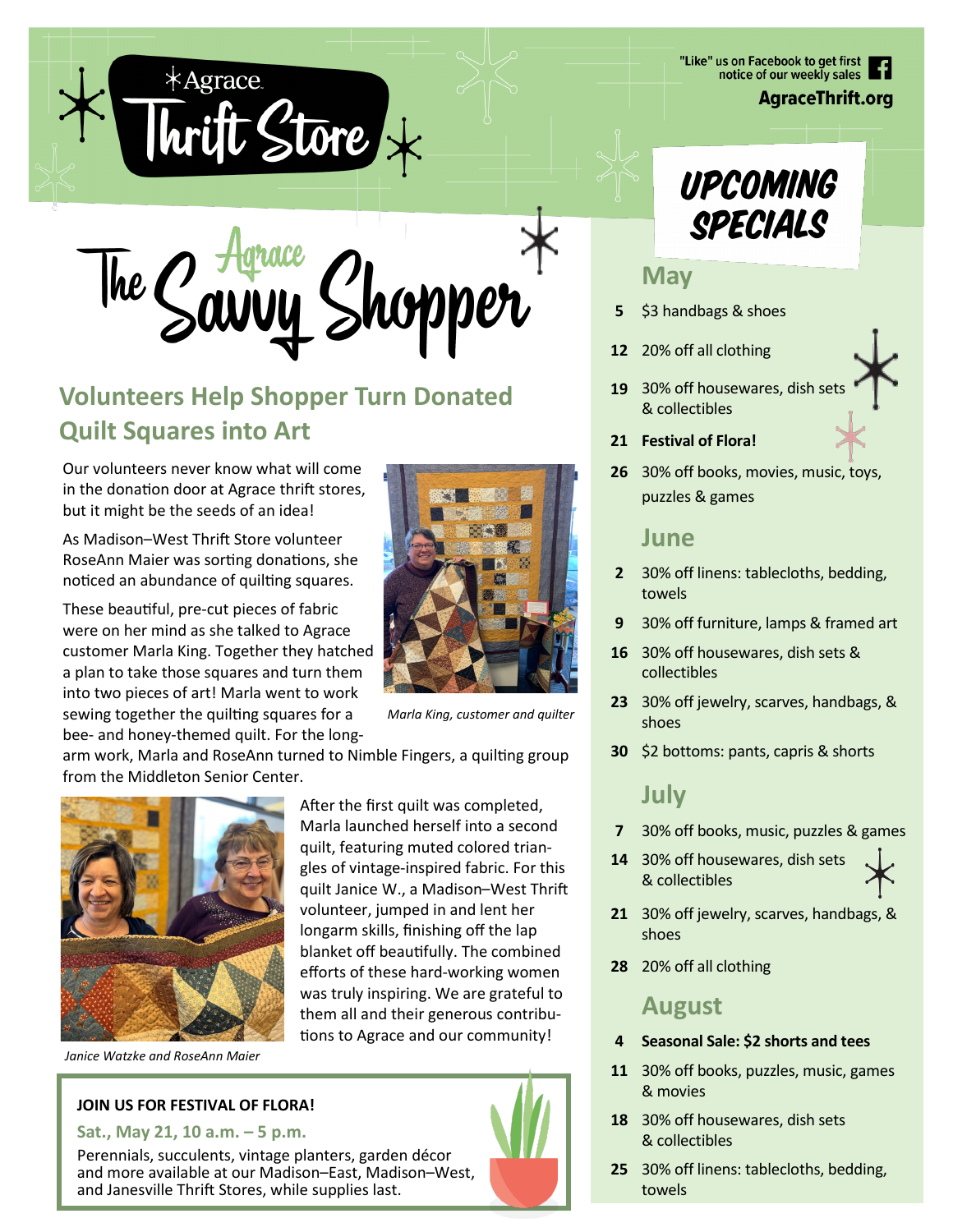

hopper The Cavvy

# **Volunteers Help Shopper Turn Donated Quilt Squares into Art**

Our volunteers never know what will come in the donation door at Agrace thrift stores, but it might be the seeds of an idea!

As Madison–West Thrift Store volunteer RoseAnn Maier was sorting donations, she noticed an abundance of quilting squares.

These beautiful, pre-cut pieces of fabric were on her mind as she talked to Agrace customer Marla King. Together they hatched a plan to take those squares and turn them into two pieces of art! Marla went to work sewing together the quilting squares for a bee- and honey-themed quilt. For the long-



*Marla King, customer and quilter*

arm work, Marla and RoseAnn turned to Nimble Fingers, a quilting group from the Middleton Senior Center.



After the first quilt was completed, Marla launched herself into a second quilt, featuring muted colored triangles of vintage-inspired fabric. For this quilt Janice W., a Madison–West Thrift volunteer, jumped in and lent her longarm skills, finishing off the lap blanket off beautifully. The combined efforts of these hard-working women was truly inspiring. We are grateful to them all and their generous contributions to Agrace and our community!

*Janice Watzke and RoseAnn Maier*

#### **JOIN US FOR FESTIVAL OF FLORA!**

#### **Sat., May 21, 10 a.m. – 5 p.m.**

Perennials, succulents, vintage planters, garden décor and more available at our Madison–East, Madison–West, and Janesville Thrift Stores, while supplies last.



## **May**

- **5** \$3 handbags & shoes
- **12** 20% off all clothing
- **19** 30% off housewares, dish sets & collectibles
- **21 Festival of Flora!**
- **26** 30% off books, movies, music, toys, puzzles & games

#### **June**

- **2** 30% off linens: tablecloths, bedding, towels
- **9** 30% off furniture, lamps & framed art
- **16** 30% off housewares, dish sets & collectibles
- **23** 30% off jewelry, scarves, handbags, & shoes
- **30** \$2 bottoms: pants, capris & shorts

## **July**

- **7** 30% off books, music, puzzles & games
- **14** 30% off housewares, dish sets & collectibles
- **21** 30% off jewelry, scarves, handbags, & shoes
- **28** 20% off all clothing

#### **August**

- **4 Seasonal Sale: \$2 shorts and tees**
- **11** 30% off books, puzzles, music, games & movies
- **18** 30% off housewares, dish sets & collectibles
- **25** 30% off linens: tablecloths, bedding, towels

"Like" us on Facebook to get first notice of our weekly sales

**AgraceThrift.org**